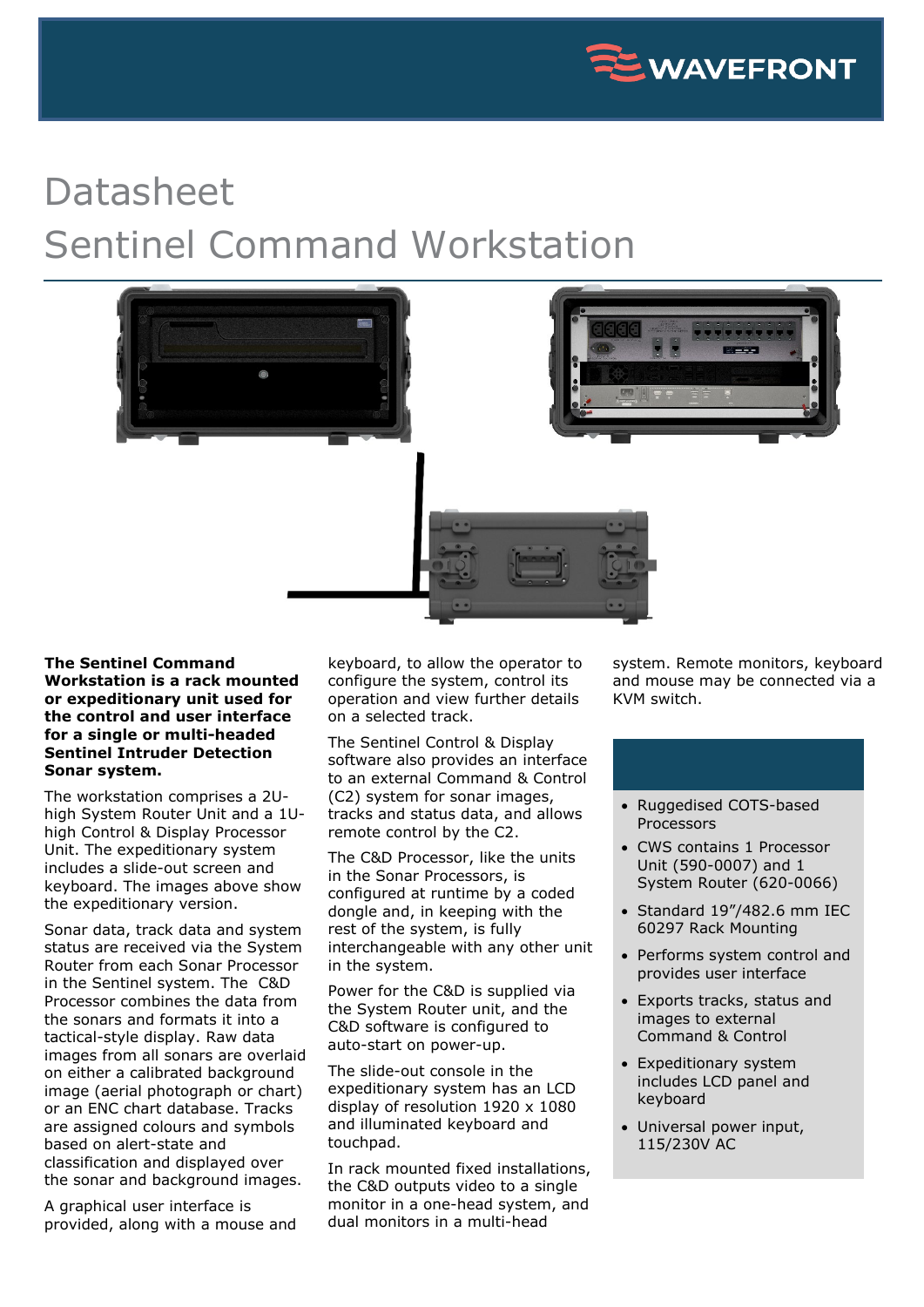

## Datasheet Sentinel Command Workstation



## **The Sentinel Command Workstation is a rack mounted or expeditionary unit used for the control and user interface for a single or multi-headed Sentinel Intruder Detection Sonar system.**

The workstation comprises a 2Uhigh System Router Unit and a 1Uhigh Control & Display Processor Unit. The expeditionary system includes a slide-out screen and keyboard. The images above show the expeditionary version.

Sonar data, track data and system status are received via the System Router from each Sonar Processor in the Sentinel system. The C&D Processor combines the data from the sonars and formats it into a tactical-style display. Raw data images from all sonars are overlaid on either a calibrated background image (aerial photograph or chart) or an ENC chart database. Tracks are assigned colours and symbols based on alert-state and classification and displayed over the sonar and background images.

A graphical user interface is provided, along with a mouse and keyboard, to allow the operator to configure the system, control its operation and view further details on a selected track.

The Sentinel Control & Display software also provides an interface to an external Command & Control (C2) system for sonar images, tracks and status data, and allows remote control by the C2.

The C&D Processor, like the units in the Sonar Processors, is configured at runtime by a coded dongle and, in keeping with the rest of the system, is fully interchangeable with any other unit in the system.

Power for the C&D is supplied via the System Router unit, and the C&D software is configured to auto-start on power-up.

The slide-out console in the expeditionary system has an LCD display of resolution 1920 x 1080 and illuminated keyboard and touchpad.

In rack mounted fixed installations, the C&D outputs video to a single monitor in a one-head system, and dual monitors in a multi-head

system. Remote monitors, keyboard and mouse may be connected via a KVM switch.

- Ruggedised COTS-based Processors
- CWS contains 1 Processor Unit (590-0007) and 1 System Router (620-0066)
- Standard 19"/482.6 mm IEC 60297 Rack Mounting
- Performs system control and provides user interface
- Exports tracks, status and images to external Command & Control
- Expeditionary system includes LCD panel and keyboard
- Universal power input, 115/230V AC